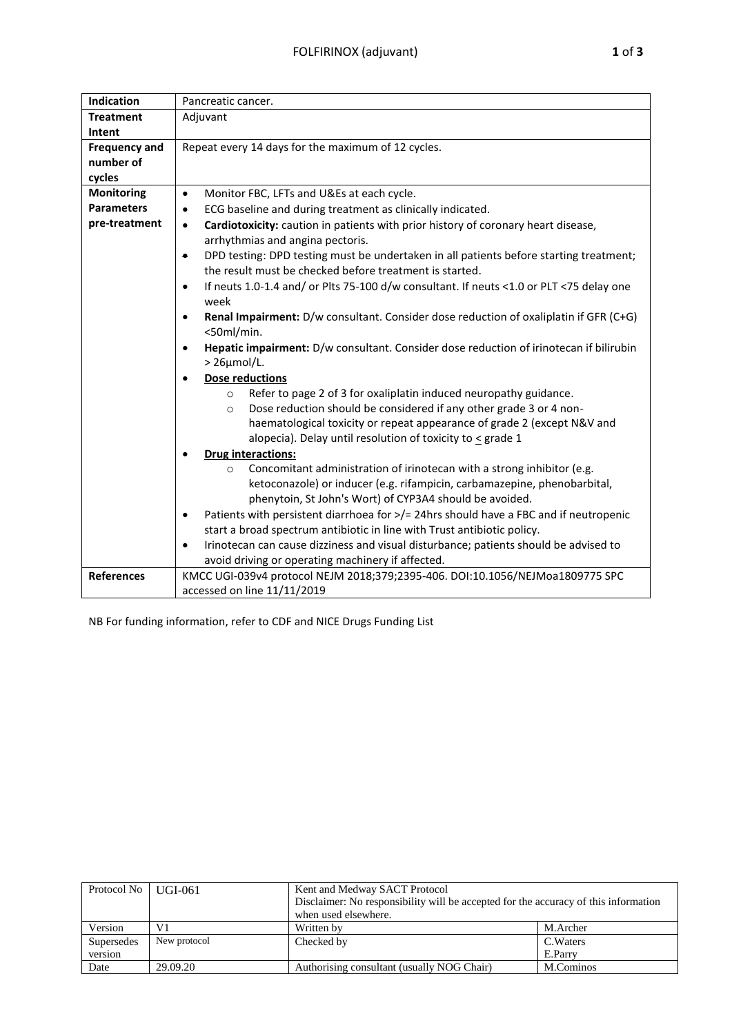| Indication           | Pancreatic cancer.                                                                                   |  |  |  |  |  |  |
|----------------------|------------------------------------------------------------------------------------------------------|--|--|--|--|--|--|
| <b>Treatment</b>     | Adjuvant                                                                                             |  |  |  |  |  |  |
| Intent               |                                                                                                      |  |  |  |  |  |  |
| <b>Frequency and</b> | Repeat every 14 days for the maximum of 12 cycles.                                                   |  |  |  |  |  |  |
| number of            |                                                                                                      |  |  |  |  |  |  |
| cycles               |                                                                                                      |  |  |  |  |  |  |
| <b>Monitoring</b>    | Monitor FBC, LFTs and U&Es at each cycle.<br>$\bullet$                                               |  |  |  |  |  |  |
| <b>Parameters</b>    | ECG baseline and during treatment as clinically indicated.<br>$\bullet$                              |  |  |  |  |  |  |
| pre-treatment        | Cardiotoxicity: caution in patients with prior history of coronary heart disease,<br>$\bullet$       |  |  |  |  |  |  |
|                      | arrhythmias and angina pectoris.                                                                     |  |  |  |  |  |  |
|                      | DPD testing: DPD testing must be undertaken in all patients before starting treatment;<br>۰          |  |  |  |  |  |  |
|                      | the result must be checked before treatment is started.                                              |  |  |  |  |  |  |
|                      | If neuts 1.0-1.4 and/ or Plts 75-100 d/w consultant. If neuts <1.0 or PLT <75 delay one<br>$\bullet$ |  |  |  |  |  |  |
|                      | week                                                                                                 |  |  |  |  |  |  |
|                      | Renal Impairment: D/w consultant. Consider dose reduction of oxaliplatin if GFR (C+G)<br>$\bullet$   |  |  |  |  |  |  |
|                      | <50ml/min.                                                                                           |  |  |  |  |  |  |
|                      | Hepatic impairment: D/w consultant. Consider dose reduction of irinotecan if bilirubin               |  |  |  |  |  |  |
|                      | $>$ 26 $\mu$ mol/L.                                                                                  |  |  |  |  |  |  |
|                      | <b>Dose reductions</b>                                                                               |  |  |  |  |  |  |
|                      | Refer to page 2 of 3 for oxaliplatin induced neuropathy guidance.<br>$\circ$                         |  |  |  |  |  |  |
|                      | Dose reduction should be considered if any other grade 3 or 4 non-<br>$\circ$                        |  |  |  |  |  |  |
|                      | haematological toxicity or repeat appearance of grade 2 (except N&V and                              |  |  |  |  |  |  |
|                      | alopecia). Delay until resolution of toxicity to $\leq$ grade 1                                      |  |  |  |  |  |  |
|                      | <b>Drug interactions:</b>                                                                            |  |  |  |  |  |  |
|                      | Concomitant administration of irinotecan with a strong inhibitor (e.g.<br>$\circ$                    |  |  |  |  |  |  |
|                      | ketoconazole) or inducer (e.g. rifampicin, carbamazepine, phenobarbital,                             |  |  |  |  |  |  |
|                      | phenytoin, St John's Wort) of CYP3A4 should be avoided.                                              |  |  |  |  |  |  |
|                      | Patients with persistent diarrhoea for >/= 24hrs should have a FBC and if neutropenic<br>$\bullet$   |  |  |  |  |  |  |
|                      | start a broad spectrum antibiotic in line with Trust antibiotic policy.                              |  |  |  |  |  |  |
|                      | Irinotecan can cause dizziness and visual disturbance; patients should be advised to                 |  |  |  |  |  |  |
|                      | avoid driving or operating machinery if affected.                                                    |  |  |  |  |  |  |
| <b>References</b>    | KMCC UGI-039v4 protocol NEJM 2018;379;2395-406. DOI:10.1056/NEJMoa1809775 SPC                        |  |  |  |  |  |  |
|                      | accessed on line 11/11/2019                                                                          |  |  |  |  |  |  |

NB For funding information, refer to CDF and NICE Drugs Funding List

| Protocol No   UGI-061 |              | Kent and Medway SACT Protocol<br>Disclaimer: No responsibility will be accepted for the accuracy of this information |           |  |
|-----------------------|--------------|----------------------------------------------------------------------------------------------------------------------|-----------|--|
|                       |              | when used elsewhere.                                                                                                 |           |  |
| Version               | V1           | Written by                                                                                                           | M.Archer  |  |
| Supersedes            | New protocol | Checked by                                                                                                           | C. Waters |  |
| version               |              |                                                                                                                      | E.Parry   |  |
| Date                  | 29.09.20     | Authorising consultant (usually NOG Chair)                                                                           | M.Cominos |  |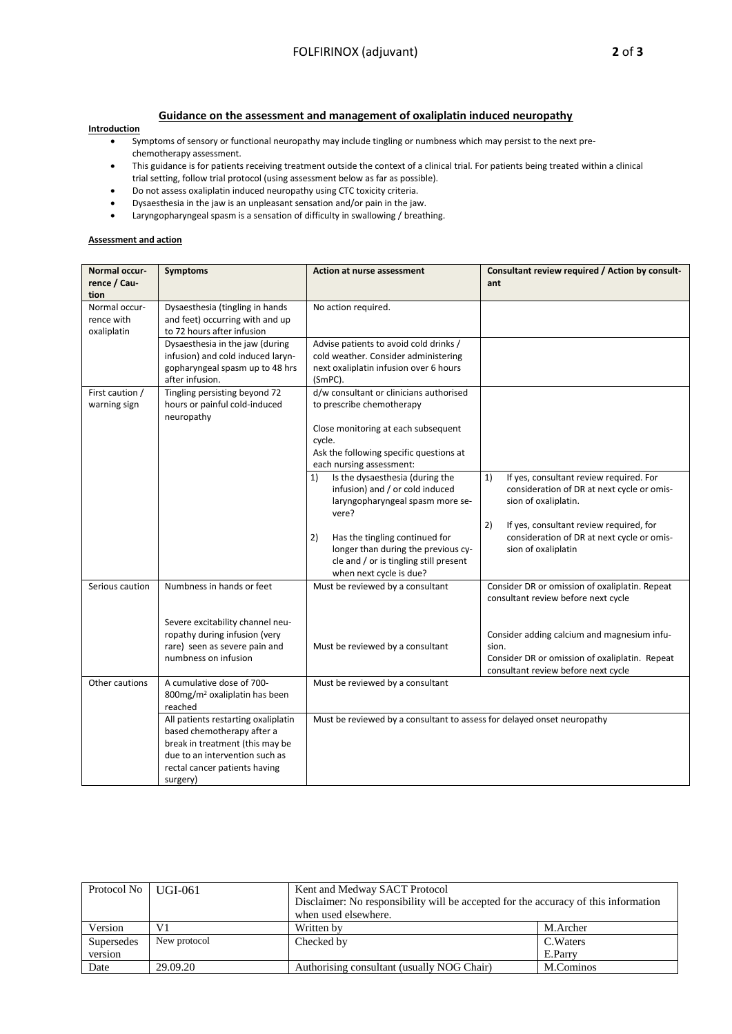## **Guidance on the assessment and management of oxaliplatin induced neuropathy**

## **Introduction**

- Symptoms of sensory or functional neuropathy may include tingling or numbness which may persist to the next prechemotherapy assessment.
- This guidance is for patients receiving treatment outside the context of a clinical trial. For patients being treated within a clinical trial setting, follow trial protocol (using assessment below as far as possible).
- Do not assess oxaliplatin induced neuropathy using CTC toxicity criteria.
- Dysaesthesia in the jaw is an unpleasant sensation and/or pain in the jaw.
- Laryngopharyngeal spasm is a sensation of difficulty in swallowing / breathing.

## **Assessment and action**

| Normal occur-   | <b>Symptoms</b>                                                   | <b>Action at nurse assessment</b>                                       | Consultant review required / Action by consult- |  |
|-----------------|-------------------------------------------------------------------|-------------------------------------------------------------------------|-------------------------------------------------|--|
| rence / Cau-    |                                                                   |                                                                         | ant                                             |  |
| tion            |                                                                   |                                                                         |                                                 |  |
| Normal occur-   | Dysaesthesia (tingling in hands                                   | No action required.                                                     |                                                 |  |
| rence with      | and feet) occurring with and up                                   |                                                                         |                                                 |  |
| oxaliplatin     | to 72 hours after infusion                                        |                                                                         |                                                 |  |
|                 | Dysaesthesia in the jaw (during                                   | Advise patients to avoid cold drinks /                                  |                                                 |  |
|                 | infusion) and cold induced laryn-                                 | cold weather. Consider administering                                    |                                                 |  |
|                 | gopharyngeal spasm up to 48 hrs                                   | next oxaliplatin infusion over 6 hours                                  |                                                 |  |
|                 | after infusion.                                                   | (SmPC).                                                                 |                                                 |  |
| First caution / | Tingling persisting beyond 72                                     | d/w consultant or clinicians authorised                                 |                                                 |  |
| warning sign    | hours or painful cold-induced                                     | to prescribe chemotherapy                                               |                                                 |  |
|                 | neuropathy                                                        |                                                                         |                                                 |  |
|                 |                                                                   | Close monitoring at each subsequent                                     |                                                 |  |
|                 |                                                                   | cycle.                                                                  |                                                 |  |
|                 |                                                                   | Ask the following specific questions at                                 |                                                 |  |
|                 |                                                                   | each nursing assessment:                                                |                                                 |  |
|                 |                                                                   | Is the dysaesthesia (during the<br>1)                                   | 1)<br>If yes, consultant review required. For   |  |
|                 |                                                                   | infusion) and / or cold induced                                         | consideration of DR at next cycle or omis-      |  |
|                 |                                                                   | laryngopharyngeal spasm more se-                                        | sion of oxaliplatin.                            |  |
|                 |                                                                   | vere?                                                                   |                                                 |  |
|                 |                                                                   |                                                                         | 2)<br>If yes, consultant review required, for   |  |
|                 |                                                                   | Has the tingling continued for<br>2)                                    | consideration of DR at next cycle or omis-      |  |
|                 |                                                                   | longer than during the previous cy-                                     | sion of oxaliplatin                             |  |
|                 |                                                                   | cle and / or is tingling still present                                  |                                                 |  |
|                 |                                                                   | when next cycle is due?                                                 |                                                 |  |
|                 |                                                                   |                                                                         |                                                 |  |
| Serious caution | Numbness in hands or feet                                         | Must be reviewed by a consultant                                        | Consider DR or omission of oxaliplatin. Repeat  |  |
|                 |                                                                   |                                                                         | consultant review before next cycle             |  |
|                 |                                                                   |                                                                         |                                                 |  |
|                 | Severe excitability channel neu-<br>ropathy during infusion (very |                                                                         |                                                 |  |
|                 | rare) seen as severe pain and                                     |                                                                         | Consider adding calcium and magnesium infu-     |  |
|                 | numbness on infusion                                              | Must be reviewed by a consultant                                        | sion.                                           |  |
|                 |                                                                   |                                                                         | Consider DR or omission of oxaliplatin. Repeat  |  |
|                 |                                                                   |                                                                         | consultant review before next cycle             |  |
| Other cautions  | A cumulative dose of 700-                                         | Must be reviewed by a consultant                                        |                                                 |  |
|                 | 800mg/m <sup>2</sup> oxaliplatin has been                         |                                                                         |                                                 |  |
|                 | reached                                                           |                                                                         |                                                 |  |
|                 | All patients restarting oxaliplatin                               | Must be reviewed by a consultant to assess for delayed onset neuropathy |                                                 |  |
|                 | based chemotherapy after a                                        |                                                                         |                                                 |  |
|                 | break in treatment (this may be                                   |                                                                         |                                                 |  |
|                 | due to an intervention such as                                    |                                                                         |                                                 |  |
|                 | rectal cancer patients having                                     |                                                                         |                                                 |  |
|                 | surgery)                                                          |                                                                         |                                                 |  |

| Protocol No UGI-061 |              | Kent and Medway SACT Protocol                                                       |           |  |  |
|---------------------|--------------|-------------------------------------------------------------------------------------|-----------|--|--|
|                     |              | Disclaimer: No responsibility will be accepted for the accuracy of this information |           |  |  |
|                     |              | when used elsewhere.                                                                |           |  |  |
| Version             | V1           | Written by                                                                          | M.Archer  |  |  |
| Supersedes          | New protocol | Checked by                                                                          | C. Waters |  |  |
| version             |              |                                                                                     | E.Parry   |  |  |
| Date                | 29.09.20     | Authorising consultant (usually NOG Chair)                                          | M.Cominos |  |  |